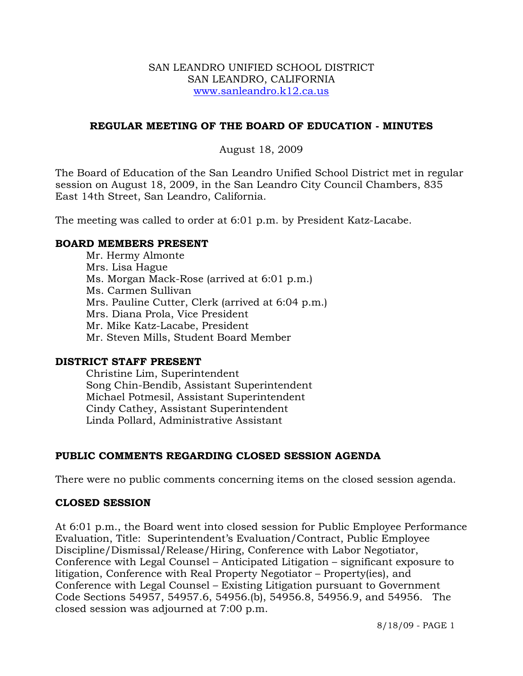#### SAN LEANDRO UNIFIED SCHOOL DISTRICT SAN LEANDRO, CALIFORNIA www.sanleandro.k12.ca.us

## **REGULAR MEETING OF THE BOARD OF EDUCATION - MINUTES**

#### August 18, 2009

The Board of Education of the San Leandro Unified School District met in regular session on August 18, 2009, in the San Leandro City Council Chambers, 835 East 14th Street, San Leandro, California.

The meeting was called to order at 6:01 p.m. by President Katz-Lacabe.

#### **BOARD MEMBERS PRESENT**

Mr. Hermy Almonte Mrs. Lisa Hague Ms. Morgan Mack-Rose (arrived at 6:01 p.m.) Ms. Carmen Sullivan Mrs. Pauline Cutter, Clerk (arrived at 6:04 p.m.) Mrs. Diana Prola, Vice President Mr. Mike Katz-Lacabe, President Mr. Steven Mills, Student Board Member

#### **DISTRICT STAFF PRESENT**

Christine Lim, Superintendent Song Chin-Bendib, Assistant Superintendent Michael Potmesil, Assistant Superintendent Cindy Cathey, Assistant Superintendent Linda Pollard, Administrative Assistant

## **PUBLIC COMMENTS REGARDING CLOSED SESSION AGENDA**

There were no public comments concerning items on the closed session agenda.

#### **CLOSED SESSION**

At 6:01 p.m., the Board went into closed session for Public Employee Performance Evaluation, Title: Superintendent's Evaluation/Contract, Public Employee Discipline/Dismissal/Release/Hiring, Conference with Labor Negotiator, Conference with Legal Counsel – Anticipated Litigation – significant exposure to litigation, Conference with Real Property Negotiator – Property(ies), and Conference with Legal Counsel – Existing Litigation pursuant to Government Code Sections 54957, 54957.6, 54956.(b), 54956.8, 54956.9, and 54956. The closed session was adjourned at 7:00 p.m.

8/18/09 - PAGE 1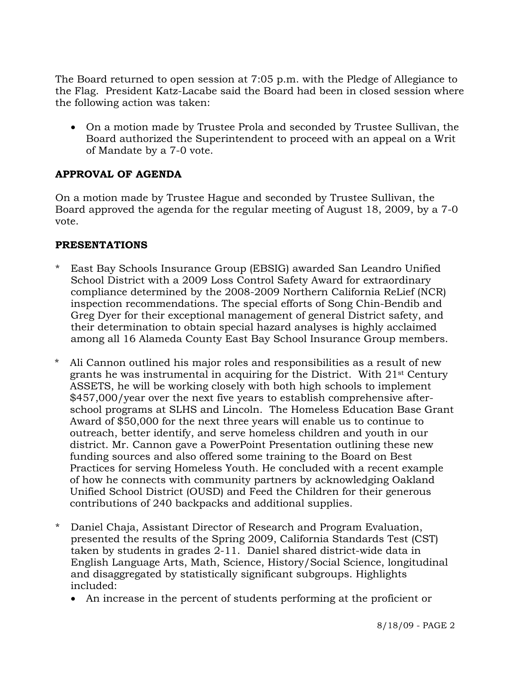The Board returned to open session at 7:05 p.m. with the Pledge of Allegiance to the Flag. President Katz-Lacabe said the Board had been in closed session where the following action was taken:

• On a motion made by Trustee Prola and seconded by Trustee Sullivan, the Board authorized the Superintendent to proceed with an appeal on a Writ of Mandate by a 7-0 vote.

# **APPROVAL OF AGENDA**

On a motion made by Trustee Hague and seconded by Trustee Sullivan, the Board approved the agenda for the regular meeting of August 18, 2009, by a 7-0 vote.

## **PRESENTATIONS**

- \* East Bay Schools Insurance Group (EBSIG) awarded San Leandro Unified School District with a 2009 Loss Control Safety Award for extraordinary compliance determined by the 2008-2009 Northern California ReLief (NCR) inspection recommendations. The special efforts of Song Chin-Bendib and Greg Dyer for their exceptional management of general District safety, and their determination to obtain special hazard analyses is highly acclaimed among all 16 Alameda County East Bay School Insurance Group members.
- \* Ali Cannon outlined his major roles and responsibilities as a result of new grants he was instrumental in acquiring for the District. With 21st Century ASSETS, he will be working closely with both high schools to implement \$457,000/year over the next five years to establish comprehensive afterschool programs at SLHS and Lincoln. The Homeless Education Base Grant Award of \$50,000 for the next three years will enable us to continue to outreach, better identify, and serve homeless children and youth in our district. Mr. Cannon gave a PowerPoint Presentation outlining these new funding sources and also offered some training to the Board on Best Practices for serving Homeless Youth. He concluded with a recent example of how he connects with community partners by acknowledging Oakland Unified School District (OUSD) and Feed the Children for their generous contributions of 240 backpacks and additional supplies.
- \* Daniel Chaja, Assistant Director of Research and Program Evaluation, presented the results of the Spring 2009, California Standards Test (CST) taken by students in grades 2-11. Daniel shared district-wide data in English Language Arts, Math, Science, History/Social Science, longitudinal and disaggregated by statistically significant subgroups. Highlights included:
	- An increase in the percent of students performing at the proficient or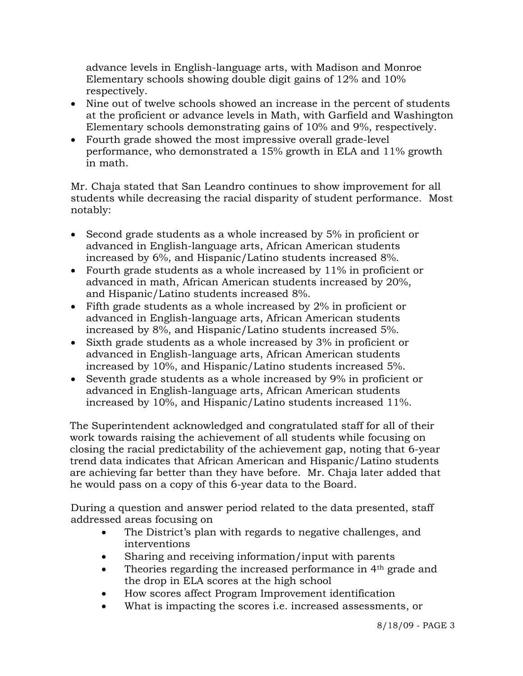advance levels in English-language arts, with Madison and Monroe Elementary schools showing double digit gains of 12% and 10% respectively.

- Nine out of twelve schools showed an increase in the percent of students at the proficient or advance levels in Math, with Garfield and Washington Elementary schools demonstrating gains of 10% and 9%, respectively.
- Fourth grade showed the most impressive overall grade-level performance, who demonstrated a 15% growth in ELA and 11% growth in math.

Mr. Chaja stated that San Leandro continues to show improvement for all students while decreasing the racial disparity of student performance. Most notably:

- Second grade students as a whole increased by 5% in proficient or advanced in English-language arts, African American students increased by 6%, and Hispanic/Latino students increased 8%.
- Fourth grade students as a whole increased by 11% in proficient or advanced in math, African American students increased by 20%, and Hispanic/Latino students increased 8%.
- Fifth grade students as a whole increased by 2% in proficient or advanced in English-language arts, African American students increased by 8%, and Hispanic/Latino students increased 5%.
- Sixth grade students as a whole increased by 3% in proficient or advanced in English-language arts, African American students increased by 10%, and Hispanic/Latino students increased 5%.
- Seventh grade students as a whole increased by 9% in proficient or advanced in English-language arts, African American students increased by 10%, and Hispanic/Latino students increased 11%.

 The Superintendent acknowledged and congratulated staff for all of their work towards raising the achievement of all students while focusing on closing the racial predictability of the achievement gap, noting that 6-year trend data indicates that African American and Hispanic/Latino students are achieving far better than they have before. Mr. Chaja later added that he would pass on a copy of this 6-year data to the Board.

 During a question and answer period related to the data presented, staff addressed areas focusing on

- The District's plan with regards to negative challenges, and interventions
- Sharing and receiving information/input with parents
- Theories regarding the increased performance in 4<sup>th</sup> grade and the drop in ELA scores at the high school
- How scores affect Program Improvement identification
- What is impacting the scores *i.e.* increased assessments, or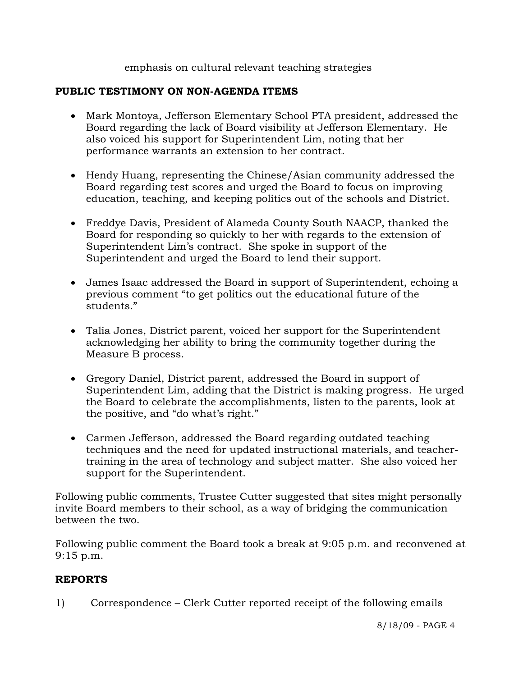# emphasis on cultural relevant teaching strategies

# **PUBLIC TESTIMONY ON NON-AGENDA ITEMS**

- Mark Montoya, Jefferson Elementary School PTA president, addressed the Board regarding the lack of Board visibility at Jefferson Elementary. He also voiced his support for Superintendent Lim, noting that her performance warrants an extension to her contract.
- Hendy Huang, representing the Chinese/Asian community addressed the Board regarding test scores and urged the Board to focus on improving education, teaching, and keeping politics out of the schools and District.
- Freddye Davis, President of Alameda County South NAACP, thanked the Board for responding so quickly to her with regards to the extension of Superintendent Lim's contract. She spoke in support of the Superintendent and urged the Board to lend their support.
- James Isaac addressed the Board in support of Superintendent, echoing a previous comment "to get politics out the educational future of the students."
- Talia Jones, District parent, voiced her support for the Superintendent acknowledging her ability to bring the community together during the Measure B process.
- Gregory Daniel, District parent, addressed the Board in support of Superintendent Lim, adding that the District is making progress. He urged the Board to celebrate the accomplishments, listen to the parents, look at the positive, and "do what's right."
- Carmen Jefferson, addressed the Board regarding outdated teaching techniques and the need for updated instructional materials, and teachertraining in the area of technology and subject matter. She also voiced her support for the Superintendent.

Following public comments, Trustee Cutter suggested that sites might personally invite Board members to their school, as a way of bridging the communication between the two.

Following public comment the Board took a break at 9:05 p.m. and reconvened at 9:15 p.m.

## **REPORTS**

1) Correspondence – Clerk Cutter reported receipt of the following emails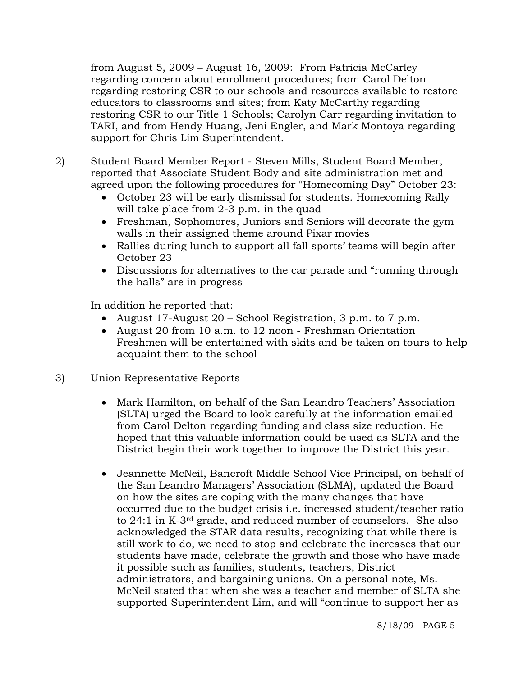from August 5, 2009 – August 16, 2009: From Patricia McCarley regarding concern about enrollment procedures; from Carol Delton regarding restoring CSR to our schools and resources available to restore educators to classrooms and sites; from Katy McCarthy regarding restoring CSR to our Title 1 Schools; Carolyn Carr regarding invitation to TARI, and from Hendy Huang, Jeni Engler, and Mark Montoya regarding support for Chris Lim Superintendent.

2) Student Board Member Report - Steven Mills, Student Board Member, reported that Associate Student Body and site administration met and agreed upon the following procedures for "Homecoming Day" October 23:

- October 23 will be early dismissal for students. Homecoming Rally will take place from 2-3 p.m. in the quad
- Freshman, Sophomores, Juniors and Seniors will decorate the gym walls in their assigned theme around Pixar movies
- Rallies during lunch to support all fall sports' teams will begin after October 23
- Discussions for alternatives to the car parade and "running through the halls" are in progress

In addition he reported that:

- August 17-August 20 School Registration, 3 p.m. to 7 p.m.
- August 20 from 10 a.m. to 12 noon Freshman Orientation Freshmen will be entertained with skits and be taken on tours to help acquaint them to the school
- 3) Union Representative Reports
	- Mark Hamilton, on behalf of the San Leandro Teachers' Association (SLTA) urged the Board to look carefully at the information emailed from Carol Delton regarding funding and class size reduction. He hoped that this valuable information could be used as SLTA and the District begin their work together to improve the District this year.
	- Jeannette McNeil, Bancroft Middle School Vice Principal, on behalf of the San Leandro Managers' Association (SLMA), updated the Board on how the sites are coping with the many changes that have occurred due to the budget crisis i.e. increased student/teacher ratio to 24:1 in K-3rd grade, and reduced number of counselors. She also acknowledged the STAR data results, recognizing that while there is still work to do, we need to stop and celebrate the increases that our students have made, celebrate the growth and those who have made it possible such as families, students, teachers, District administrators, and bargaining unions. On a personal note, Ms. McNeil stated that when she was a teacher and member of SLTA she supported Superintendent Lim, and will "continue to support her as

8/18/09 - PAGE 5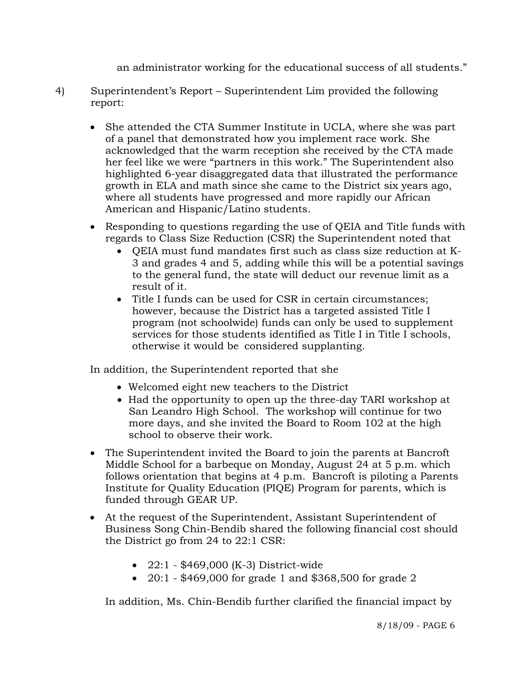an administrator working for the educational success of all students."

- 4) Superintendent's Report Superintendent Lim provided the following report:
	- She attended the CTA Summer Institute in UCLA, where she was part of a panel that demonstrated how you implement race work. She acknowledged that the warm reception she received by the CTA made her feel like we were "partners in this work." The Superintendent also highlighted 6-year disaggregated data that illustrated the performance growth in ELA and math since she came to the District six years ago, where all students have progressed and more rapidly our African American and Hispanic/Latino students.
	- Responding to questions regarding the use of QEIA and Title funds with regards to Class Size Reduction (CSR) the Superintendent noted that
		- QEIA must fund mandates first such as class size reduction at K-3 and grades 4 and 5, adding while this will be a potential savings to the general fund, the state will deduct our revenue limit as a result of it.
		- Title I funds can be used for CSR in certain circumstances; however, because the District has a targeted assisted Title I program (not schoolwide) funds can only be used to supplement services for those students identified as Title I in Title I schools, otherwise it would be considered supplanting.

In addition, the Superintendent reported that she

- Welcomed eight new teachers to the District
- Had the opportunity to open up the three-day TARI workshop at San Leandro High School. The workshop will continue for two more days, and she invited the Board to Room 102 at the high school to observe their work.
- The Superintendent invited the Board to join the parents at Bancroft Middle School for a barbeque on Monday, August 24 at 5 p.m. which follows orientation that begins at 4 p.m. Bancroft is piloting a Parents Institute for Quality Education (PIQE) Program for parents, which is funded through GEAR UP.
- At the request of the Superintendent, Assistant Superintendent of Business Song Chin-Bendib shared the following financial cost should the District go from 24 to 22:1 CSR:
	- 22:1 \$469,000 (K-3) District-wide
	- 20:1 \$469,000 for grade 1 and \$368,500 for grade 2

In addition, Ms. Chin-Bendib further clarified the financial impact by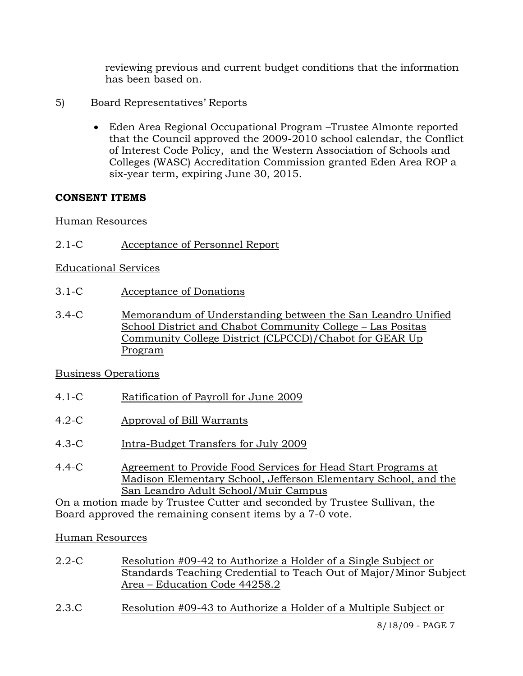reviewing previous and current budget conditions that the information has been based on.

- 5) Board Representatives' Reports
	- Eden Area Regional Occupational Program –Trustee Almonte reported that the Council approved the 2009-2010 school calendar, the Conflict of Interest Code Policy, and the Western Association of Schools and Colleges (WASC) Accreditation Commission granted Eden Area ROP a six-year term, expiring June 30, 2015.

# **CONSENT ITEMS**

Human Resources

2.1-C Acceptance of Personnel Report

Educational Services

- 3.1-C Acceptance of Donations
- 3.4-C Memorandum of Understanding between the San Leandro Unified School District and Chabot Community College – Las Positas Community College District (CLPCCD)/Chabot for GEAR Up Program

## Business Operations

- 4.1-C Ratification of Payroll for June 2009
- 4.2-C Approval of Bill Warrants
- 4.3-C Intra-Budget Transfers for July 2009
- 4.4-C Agreement to Provide Food Services for Head Start Programs at Madison Elementary School, Jefferson Elementary School, and the San Leandro Adult School/Muir Campus

On a motion made by Trustee Cutter and seconded by Trustee Sullivan, the Board approved the remaining consent items by a 7-0 vote.

Human Resources

- 2.2-C Resolution #09-42 to Authorize a Holder of a Single Subject or Standards Teaching Credential to Teach Out of Major/Minor Subject Area – Education Code 44258.2
- 2.3.C Resolution #09-43 to Authorize a Holder of a Multiple Subject or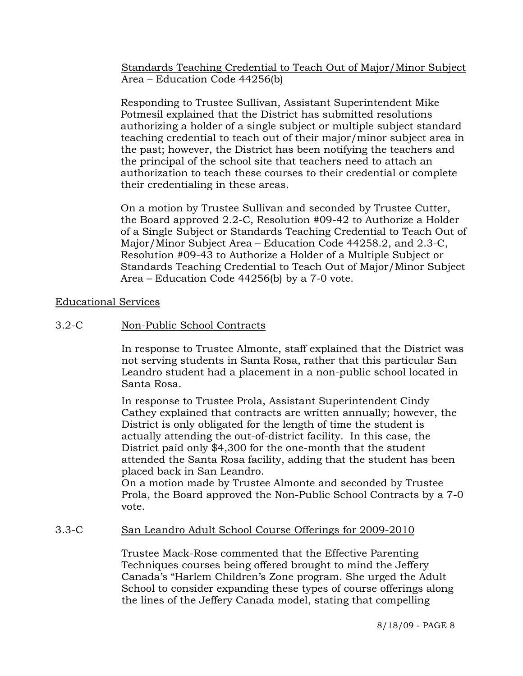Standards Teaching Credential to Teach Out of Major/Minor Subject Area – Education Code 44256(b)

Responding to Trustee Sullivan, Assistant Superintendent Mike Potmesil explained that the District has submitted resolutions authorizing a holder of a single subject or multiple subject standard teaching credential to teach out of their major/minor subject area in the past; however, the District has been notifying the teachers and the principal of the school site that teachers need to attach an authorization to teach these courses to their credential or complete their credentialing in these areas.

On a motion by Trustee Sullivan and seconded by Trustee Cutter, the Board approved 2.2-C, Resolution #09-42 to Authorize a Holder of a Single Subject or Standards Teaching Credential to Teach Out of Major/Minor Subject Area – Education Code 44258.2, and 2.3-C, Resolution #09-43 to Authorize a Holder of a Multiple Subject or Standards Teaching Credential to Teach Out of Major/Minor Subject Area – Education Code 44256(b) by a 7-0 vote.

Educational Services

3.2-C Non-Public School Contracts

In response to Trustee Almonte, staff explained that the District was not serving students in Santa Rosa, rather that this particular San Leandro student had a placement in a non-public school located in Santa Rosa.

In response to Trustee Prola, Assistant Superintendent Cindy Cathey explained that contracts are written annually; however, the District is only obligated for the length of time the student is actually attending the out-of-district facility. In this case, the District paid only \$4,300 for the one-month that the student attended the Santa Rosa facility, adding that the student has been placed back in San Leandro.

On a motion made by Trustee Almonte and seconded by Trustee Prola, the Board approved the Non-Public School Contracts by a 7-0 vote.

## 3.3-C San Leandro Adult School Course Offerings for 2009-2010

Trustee Mack-Rose commented that the Effective Parenting Techniques courses being offered brought to mind the Jeffery Canada's "Harlem Children's Zone program. She urged the Adult School to consider expanding these types of course offerings along the lines of the Jeffery Canada model, stating that compelling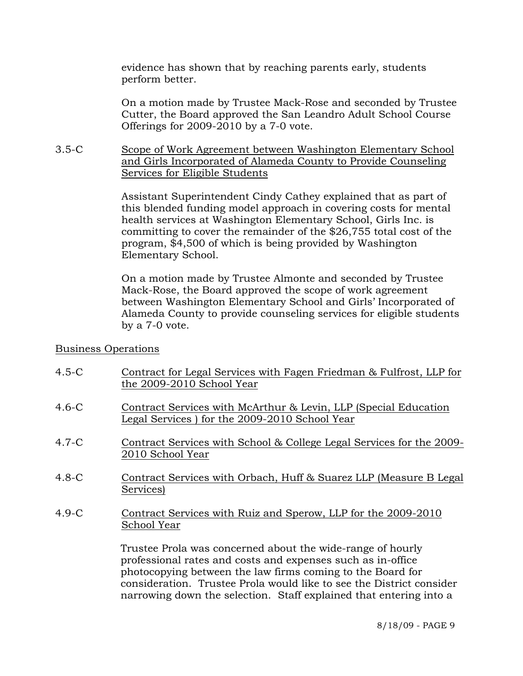evidence has shown that by reaching parents early, students perform better.

On a motion made by Trustee Mack-Rose and seconded by Trustee Cutter, the Board approved the San Leandro Adult School Course Offerings for 2009-2010 by a 7-0 vote.

## 3.5-C Scope of Work Agreement between Washington Elementary School and Girls Incorporated of Alameda County to Provide Counseling Services for Eligible Students

Assistant Superintendent Cindy Cathey explained that as part of this blended funding model approach in covering costs for mental health services at Washington Elementary School, Girls Inc. is committing to cover the remainder of the \$26,755 total cost of the program, \$4,500 of which is being provided by Washington Elementary School.

On a motion made by Trustee Almonte and seconded by Trustee Mack-Rose, the Board approved the scope of work agreement between Washington Elementary School and Girls' Incorporated of Alameda County to provide counseling services for eligible students by a 7-0 vote.

## Business Operations

- 4.5-C Contract for Legal Services with Fagen Friedman & Fulfrost, LLP for the 2009-2010 School Year
- 4.6-C Contract Services with McArthur & Levin, LLP (Special Education Legal Services ) for the 2009-2010 School Year
- 4.7-C Contract Services with School & College Legal Services for the 2009- 2010 School Year
- 4.8-C Contract Services with Orbach, Huff & Suarez LLP (Measure B Legal Services)
- 4.9-C Contract Services with Ruiz and Sperow, LLP for the 2009-2010 School Year

Trustee Prola was concerned about the wide-range of hourly professional rates and costs and expenses such as in-office photocopying between the law firms coming to the Board for consideration. Trustee Prola would like to see the District consider narrowing down the selection. Staff explained that entering into a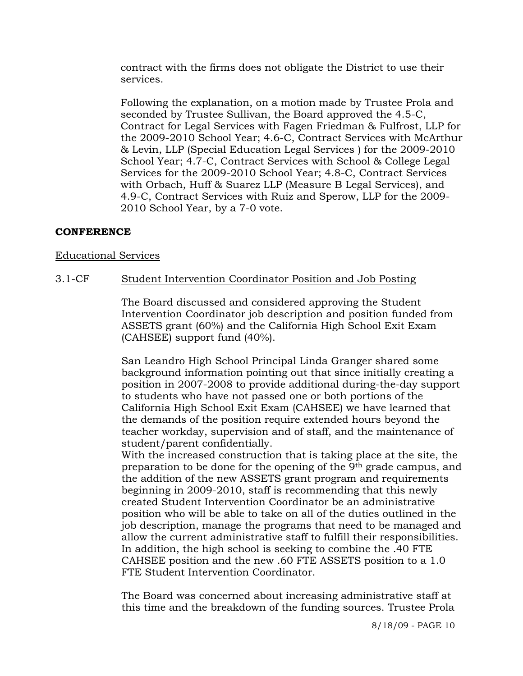contract with the firms does not obligate the District to use their services.

Following the explanation, on a motion made by Trustee Prola and seconded by Trustee Sullivan, the Board approved the 4.5-C, Contract for Legal Services with Fagen Friedman & Fulfrost, LLP for the 2009-2010 School Year; 4.6-C, Contract Services with McArthur & Levin, LLP (Special Education Legal Services ) for the 2009-2010 School Year; 4.7-C, Contract Services with School & College Legal Services for the 2009-2010 School Year; 4.8-C, Contract Services with Orbach, Huff & Suarez LLP (Measure B Legal Services), and 4.9-C, Contract Services with Ruiz and Sperow, LLP for the 2009- 2010 School Year, by a 7-0 vote.

# **CONFERENCE**

## Educational Services

## 3.1-CF Student Intervention Coordinator Position and Job Posting

The Board discussed and considered approving the Student Intervention Coordinator job description and position funded from ASSETS grant (60%) and the California High School Exit Exam (CAHSEE) support fund (40%).

San Leandro High School Principal Linda Granger shared some background information pointing out that since initially creating a position in 2007-2008 to provide additional during-the-day support to students who have not passed one or both portions of the California High School Exit Exam (CAHSEE) we have learned that the demands of the position require extended hours beyond the teacher workday, supervision and of staff, and the maintenance of student/parent confidentially.

With the increased construction that is taking place at the site, the preparation to be done for the opening of the 9th grade campus, and the addition of the new ASSETS grant program and requirements beginning in 2009-2010, staff is recommending that this newly created Student Intervention Coordinator be an administrative position who will be able to take on all of the duties outlined in the job description, manage the programs that need to be managed and allow the current administrative staff to fulfill their responsibilities. In addition, the high school is seeking to combine the .40 FTE CAHSEE position and the new .60 FTE ASSETS position to a 1.0 FTE Student Intervention Coordinator.

The Board was concerned about increasing administrative staff at this time and the breakdown of the funding sources. Trustee Prola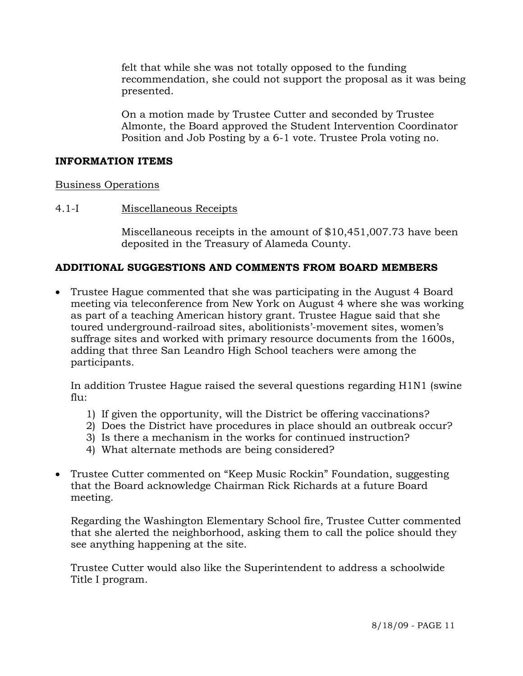felt that while she was not totally opposed to the funding recommendation, she could not support the proposal as it was being presented.

On a motion made by Trustee Cutter and seconded by Trustee Almonte, the Board approved the Student Intervention Coordinator Position and Job Posting by a 6-1 vote. Trustee Prola voting no.

#### **INFORMATION ITEMS**

#### Business Operations

#### 4.1-I Miscellaneous Receipts

Miscellaneous receipts in the amount of \$10,451,007.73 have been deposited in the Treasury of Alameda County.

## **ADDITIONAL SUGGESTIONS AND COMMENTS FROM BOARD MEMBERS**

• Trustee Hague commented that she was participating in the August 4 Board meeting via teleconference from New York on August 4 where she was working as part of a teaching American history grant. Trustee Hague said that she toured underground-railroad sites, abolitionists'-movement sites, women's suffrage sites and worked with primary resource documents from the 1600s, adding that three San Leandro High School teachers were among the participants.

In addition Trustee Hague raised the several questions regarding H1N1 (swine  $fln:$ 

- 1) If given the opportunity, will the District be offering vaccinations?
- 2) Does the District have procedures in place should an outbreak occur?
- 3) Is there a mechanism in the works for continued instruction?
- 4) What alternate methods are being considered?
- Trustee Cutter commented on "Keep Music Rockin" Foundation, suggesting that the Board acknowledge Chairman Rick Richards at a future Board meeting.

Regarding the Washington Elementary School fire, Trustee Cutter commented that she alerted the neighborhood, asking them to call the police should they see anything happening at the site.

Trustee Cutter would also like the Superintendent to address a schoolwide Title I program.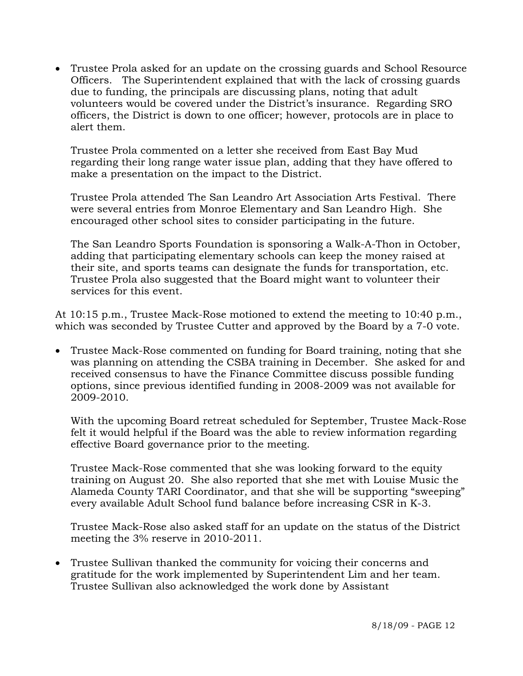• Trustee Prola asked for an update on the crossing guards and School Resource Officers. The Superintendent explained that with the lack of crossing guards due to funding, the principals are discussing plans, noting that adult volunteers would be covered under the District's insurance. Regarding SRO officers, the District is down to one officer; however, protocols are in place to alert them.

Trustee Prola commented on a letter she received from East Bay Mud regarding their long range water issue plan, adding that they have offered to make a presentation on the impact to the District.

Trustee Prola attended The San Leandro Art Association Arts Festival. There were several entries from Monroe Elementary and San Leandro High. She encouraged other school sites to consider participating in the future.

The San Leandro Sports Foundation is sponsoring a Walk-A-Thon in October, adding that participating elementary schools can keep the money raised at their site, and sports teams can designate the funds for transportation, etc. Trustee Prola also suggested that the Board might want to volunteer their services for this event.

At 10:15 p.m., Trustee Mack-Rose motioned to extend the meeting to 10:40 p.m., which was seconded by Trustee Cutter and approved by the Board by a 7-0 vote.

• Trustee Mack-Rose commented on funding for Board training, noting that she was planning on attending the CSBA training in December. She asked for and received consensus to have the Finance Committee discuss possible funding options, since previous identified funding in 2008-2009 was not available for 2009-2010.

With the upcoming Board retreat scheduled for September, Trustee Mack-Rose felt it would helpful if the Board was the able to review information regarding effective Board governance prior to the meeting.

Trustee Mack-Rose commented that she was looking forward to the equity training on August 20. She also reported that she met with Louise Music the Alameda County TARI Coordinator, and that she will be supporting "sweeping" every available Adult School fund balance before increasing CSR in K-3.

Trustee Mack-Rose also asked staff for an update on the status of the District meeting the 3% reserve in 2010-2011.

• Trustee Sullivan thanked the community for voicing their concerns and gratitude for the work implemented by Superintendent Lim and her team. Trustee Sullivan also acknowledged the work done by Assistant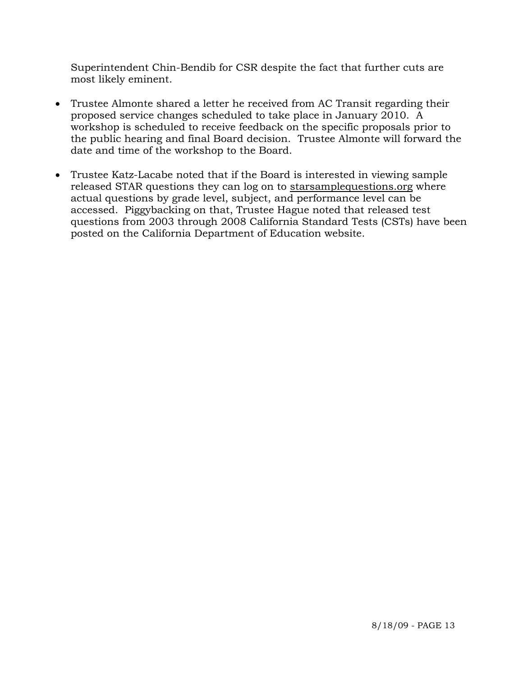Superintendent Chin-Bendib for CSR despite the fact that further cuts are most likely eminent.

- Trustee Almonte shared a letter he received from AC Transit regarding their proposed service changes scheduled to take place in January 2010. A workshop is scheduled to receive feedback on the specific proposals prior to the public hearing and final Board decision. Trustee Almonte will forward the date and time of the workshop to the Board.
- Trustee Katz-Lacabe noted that if the Board is interested in viewing sample released STAR questions they can log on to starsamplequestions.org where actual questions by grade level, subject, and performance level can be accessed. Piggybacking on that, Trustee Hague noted that released test questions from 2003 through 2008 California Standard Tests (CSTs) have been posted on the California Department of Education website.